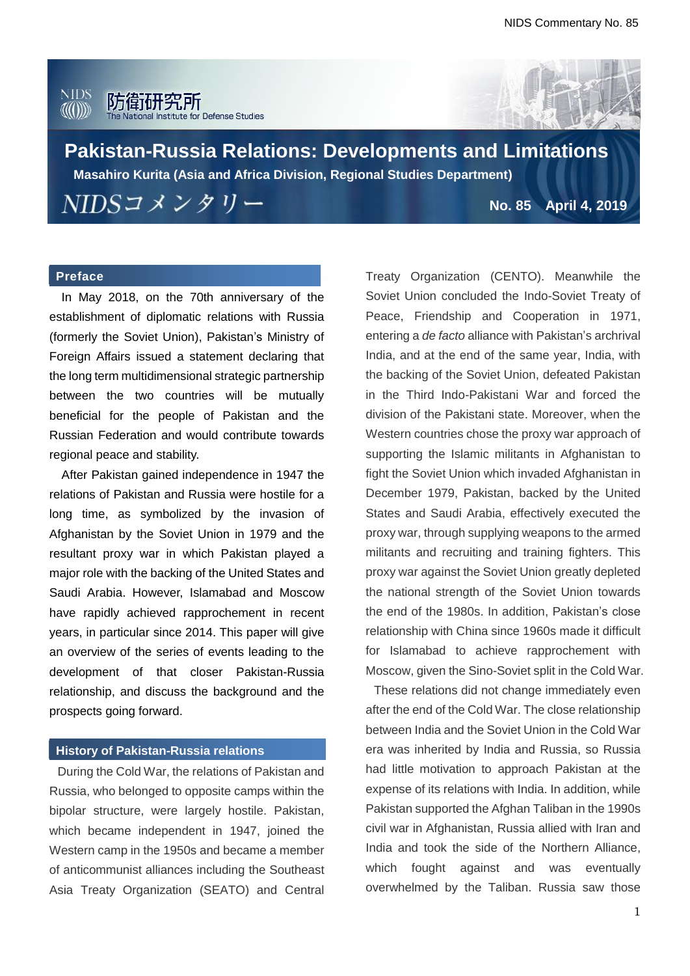#### **NIDS** 防衛研究所 AA(A)))) ute for Defense Studies



**Pakistan-Russia Relations: Developments and Limitations Masahiro Kurita (Asia and Africa Division, Regional Studies Department)**NIDSコメンタリー **No. 85 April 4, 2019**

## **Preface**

In May 2018, on the 70th anniversary of the establishment of diplomatic relations with Russia (formerly the Soviet Union), Pakistan's Ministry of Foreign Affairs issued a statement declaring that the long term multidimensional strategic partnership between the two countries will be mutually beneficial for the people of Pakistan and the Russian Federation and would contribute towards regional peace and stability.

After Pakistan gained independence in 1947 the relations of Pakistan and Russia were hostile for a long time, as symbolized by the invasion of Afghanistan by the Soviet Union in 1979 and the resultant proxy war in which Pakistan played a major role with the backing of the United States and Saudi Arabia. However, Islamabad and Moscow have rapidly achieved rapprochement in recent years, in particular since 2014. This paper will give an overview of the series of events leading to the development of that closer Pakistan-Russia relationship, and discuss the background and the prospects going forward.

### **History of Pakistan-Russia relations**

During the Cold War, the relations of Pakistan and Russia, who belonged to opposite camps within the bipolar structure, were largely hostile. Pakistan, which became independent in 1947, joined the Western camp in the 1950s and became a member of anticommunist alliances including the Southeast Asia Treaty Organization (SEATO) and Central Treaty Organization (CENTO). Meanwhile the Soviet Union concluded the Indo-Soviet Treaty of Peace, Friendship and Cooperation in 1971, entering a *de facto* alliance with Pakistan's archrival India, and at the end of the same year, India, with the backing of the Soviet Union, defeated Pakistan in the Third Indo-Pakistani War and forced the division of the Pakistani state. Moreover, when the Western countries chose the proxy war approach of supporting the Islamic militants in Afghanistan to fight the Soviet Union which invaded Afghanistan in December 1979, Pakistan, backed by the United States and Saudi Arabia, effectively executed the proxy war, through supplying weapons to the armed militants and recruiting and training fighters. This proxy war against the Soviet Union greatly depleted the national strength of the Soviet Union towards the end of the 1980s. In addition, Pakistan's close relationship with China since 1960s made it difficult for Islamabad to achieve rapprochement with Moscow, given the Sino-Soviet split in the Cold War.

These relations did not change immediately even after the end of the Cold War. The close relationship between India and the Soviet Union in the Cold War era was inherited by India and Russia, so Russia had little motivation to approach Pakistan at the expense of its relations with India. In addition, while Pakistan supported the Afghan Taliban in the 1990s civil war in Afghanistan, Russia allied with Iran and India and took the side of the Northern Alliance, which fought against and was eventually overwhelmed by the Taliban. Russia saw those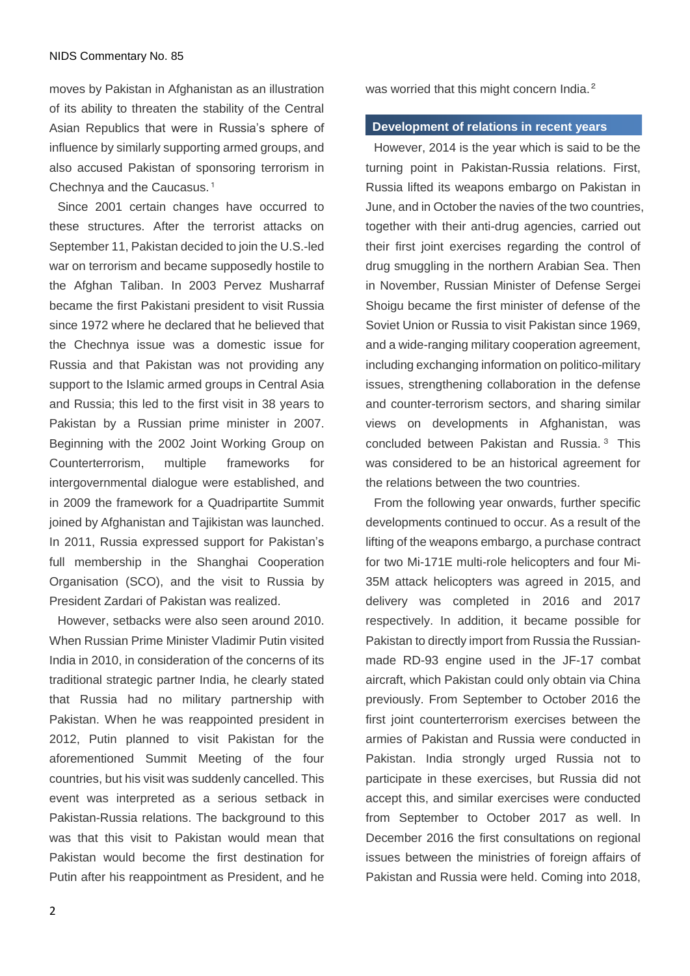#### NIDS Commentary No. 85

moves by Pakistan in Afghanistan as an illustration of its ability to threaten the stability of the Central Asian Republics that were in Russia's sphere of influence by similarly supporting armed groups, and also accused Pakistan of sponsoring terrorism in Chechnya and the Caucasus. 1

Since 2001 certain changes have occurred to these structures. After the terrorist attacks on September 11, Pakistan decided to join the U.S.-led war on terrorism and became supposedly hostile to the Afghan Taliban. In 2003 Pervez Musharraf became the first Pakistani president to visit Russia since 1972 where he declared that he believed that the Chechnya issue was a domestic issue for Russia and that Pakistan was not providing any support to the Islamic armed groups in Central Asia and Russia; this led to the first visit in 38 years to Pakistan by a Russian prime minister in 2007. Beginning with the 2002 Joint Working Group on Counterterrorism, multiple frameworks for intergovernmental dialogue were established, and in 2009 the framework for a Quadripartite Summit joined by Afghanistan and Tajikistan was launched. In 2011, Russia expressed support for Pakistan's full membership in the Shanghai Cooperation Organisation (SCO), and the visit to Russia by President Zardari of Pakistan was realized.

However, setbacks were also seen around 2010. When Russian Prime Minister Vladimir Putin visited India in 2010, in consideration of the concerns of its traditional strategic partner India, he clearly stated that Russia had no military partnership with Pakistan. When he was reappointed president in 2012, Putin planned to visit Pakistan for the aforementioned Summit Meeting of the four countries, but his visit was suddenly cancelled. This event was interpreted as a serious setback in Pakistan-Russia relations. The background to this was that this visit to Pakistan would mean that Pakistan would become the first destination for Putin after his reappointment as President, and he

2

was worried that this might concern India.<sup>2</sup>

### **Development of relations in recent years**

However, 2014 is the year which is said to be the turning point in Pakistan-Russia relations. First, Russia lifted its weapons embargo on Pakistan in June, and in October the navies of the two countries, together with their anti-drug agencies, carried out their first joint exercises regarding the control of drug smuggling in the northern Arabian Sea. Then in November, Russian Minister of Defense Sergei Shoigu became the first minister of defense of the Soviet Union or Russia to visit Pakistan since 1969, and a wide-ranging military cooperation agreement, including exchanging information on politico-military issues, strengthening collaboration in the defense and counter-terrorism sectors, and sharing similar views on developments in Afghanistan, was concluded between Pakistan and Russia. <sup>3</sup> This was considered to be an historical agreement for the relations between the two countries.

From the following year onwards, further specific developments continued to occur. As a result of the lifting of the weapons embargo, a purchase contract for two Mi-171E multi-role helicopters and four Mi-35M attack helicopters was agreed in 2015, and delivery was completed in 2016 and 2017 respectively. In addition, it became possible for Pakistan to directly import from Russia the Russianmade RD-93 engine used in the JF-17 combat aircraft, which Pakistan could only obtain via China previously. From September to October 2016 the first joint counterterrorism exercises between the armies of Pakistan and Russia were conducted in Pakistan. India strongly urged Russia not to participate in these exercises, but Russia did not accept this, and similar exercises were conducted from September to October 2017 as well. In December 2016 the first consultations on regional issues between the ministries of foreign affairs of Pakistan and Russia were held. Coming into 2018,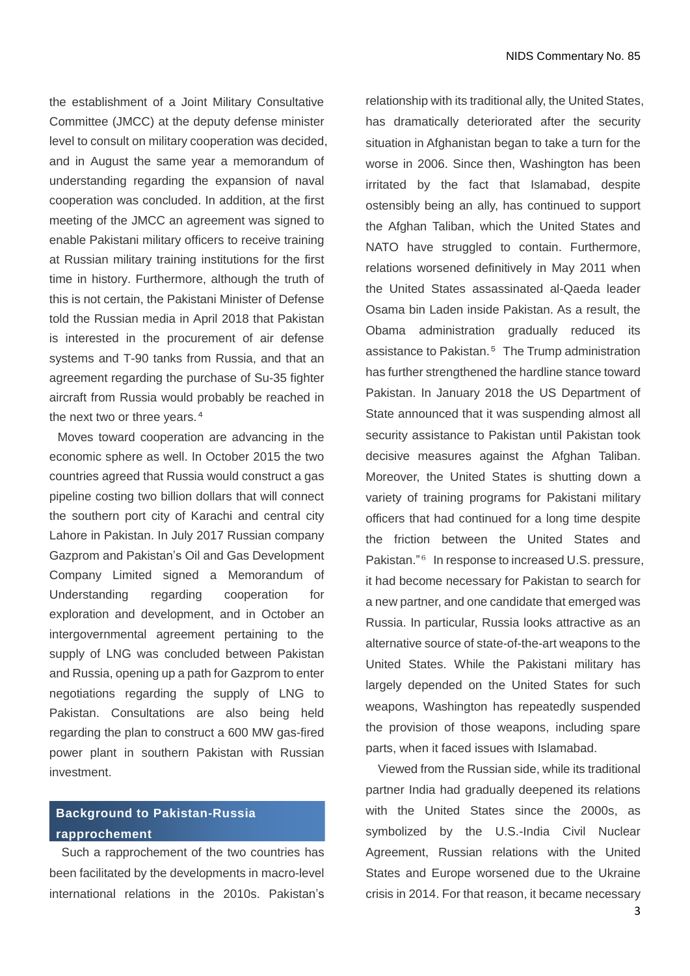the establishment of a Joint Military Consultative Committee (JMCC) at the deputy defense minister level to consult on military cooperation was decided, and in August the same year a memorandum of understanding regarding the expansion of naval cooperation was concluded. In addition, at the first meeting of the JMCC an agreement was signed to enable Pakistani military officers to receive training at Russian military training institutions for the first time in history. Furthermore, although the truth of this is not certain, the Pakistani Minister of Defense told the Russian media in April 2018 that Pakistan is interested in the procurement of air defense systems and T-90 tanks from Russia, and that an agreement regarding the purchase of Su-35 fighter aircraft from Russia would probably be reached in the next two or three years. 4

Moves toward cooperation are advancing in the economic sphere as well. In October 2015 the two countries agreed that Russia would construct a gas pipeline costing two billion dollars that will connect the southern port city of Karachi and central city Lahore in Pakistan. In July 2017 Russian company Gazprom and Pakistan's Oil and Gas Development Company Limited signed a Memorandum of Understanding regarding cooperation for exploration and development, and in October an intergovernmental agreement pertaining to the supply of LNG was concluded between Pakistan and Russia, opening up a path for Gazprom to enter negotiations regarding the supply of LNG to Pakistan. Consultations are also being held regarding the plan to construct a 600 MW gas-fired power plant in southern Pakistan with Russian investment.

# **Background to Pakistan-Russia rapprochement**

Such a rapprochement of the two countries has been facilitated by the developments in macro-level international relations in the 2010s. Pakistan's

relationship with its traditional ally, the United States, has dramatically deteriorated after the security situation in Afghanistan began to take a turn for the worse in 2006. Since then, Washington has been irritated by the fact that Islamabad, despite ostensibly being an ally, has continued to support the Afghan Taliban, which the United States and NATO have struggled to contain. Furthermore, relations worsened definitively in May 2011 when the United States assassinated al-Qaeda leader Osama bin Laden inside Pakistan. As a result, the Obama administration gradually reduced its assistance to Pakistan. <sup>5</sup> The Trump administration has further strengthened the hardline stance toward Pakistan. In January 2018 the US Department of State announced that it was suspending almost all security assistance to Pakistan until Pakistan took decisive measures against the Afghan Taliban. Moreover, the United States is shutting down a variety of training programs for Pakistani military officers that had continued for a long time despite the friction between the United States and Pakistan." <sup>6</sup> In response to increased U.S. pressure, it had become necessary for Pakistan to search for a new partner, and one candidate that emerged was Russia. In particular, Russia looks attractive as an alternative source of state-of-the-art weapons to the United States. While the Pakistani military has largely depended on the United States for such weapons, Washington has repeatedly suspended the provision of those weapons, including spare parts, when it faced issues with Islamabad.

Viewed from the Russian side, while its traditional partner India had gradually deepened its relations with the United States since the 2000s, as symbolized by the U.S.-India Civil Nuclear Agreement, Russian relations with the United States and Europe worsened due to the Ukraine crisis in 2014. For that reason, it became necessary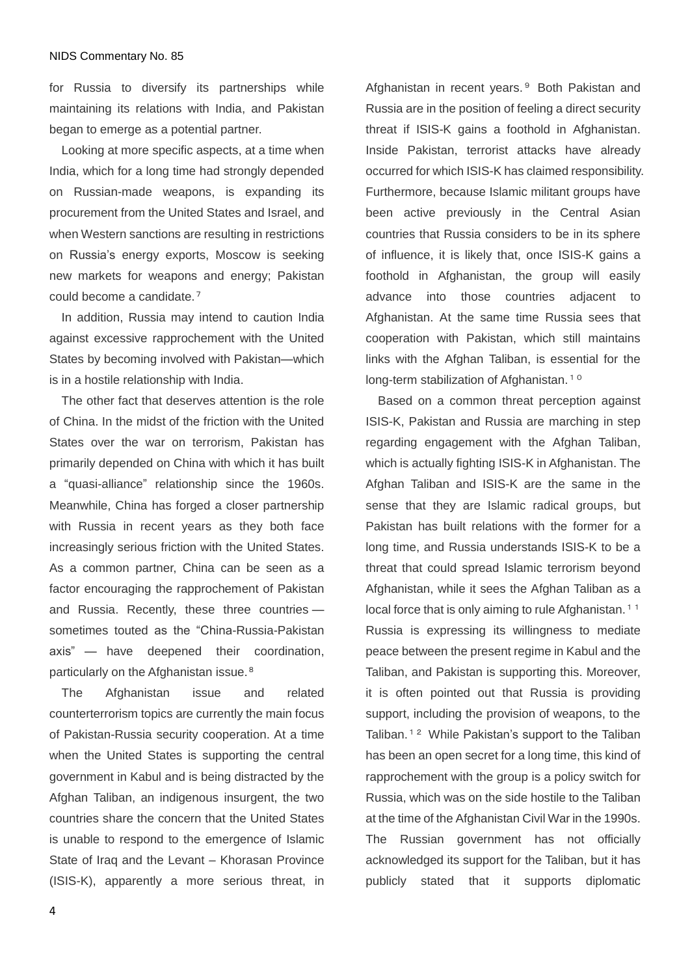#### NIDS Commentary No. 85

for Russia to diversify its partnerships while maintaining its relations with India, and Pakistan began to emerge as a potential partner.

Looking at more specific aspects, at a time when India, which for a long time had strongly depended on Russian-made weapons, is expanding its procurement from the United States and Israel, and when Western sanctions are resulting in restrictions on Russia's energy exports, Moscow is seeking new markets for weapons and energy; Pakistan could become a candidate. 7

In addition, Russia may intend to caution India against excessive rapprochement with the United States by becoming involved with Pakistan―which is in a hostile relationship with India.

The other fact that deserves attention is the role of China. In the midst of the friction with the United States over the war on terrorism, Pakistan has primarily depended on China with which it has built a "quasi-alliance" relationship since the 1960s. Meanwhile, China has forged a closer partnership with Russia in recent years as they both face increasingly serious friction with the United States. As a common partner, China can be seen as a factor encouraging the rapprochement of Pakistan and Russia. Recently, these three countries ― sometimes touted as the "China-Russia-Pakistan axis" ― have deepened their coordination, particularly on the Afghanistan issue.<sup>8</sup>

The Afghanistan issue and related counterterrorism topics are currently the main focus of Pakistan-Russia security cooperation. At a time when the United States is supporting the central government in Kabul and is being distracted by the Afghan Taliban, an indigenous insurgent, the two countries share the concern that the United States is unable to respond to the emergence of Islamic State of Iraq and the Levant – Khorasan Province (ISIS-K), apparently a more serious threat, in Afghanistan in recent years. <sup>9</sup> Both Pakistan and Russia are in the position of feeling a direct security threat if ISIS-K gains a foothold in Afghanistan. Inside Pakistan, terrorist attacks have already occurred for which ISIS-K has claimed responsibility. Furthermore, because Islamic militant groups have been active previously in the Central Asian countries that Russia considers to be in its sphere of influence, it is likely that, once ISIS-K gains a foothold in Afghanistan, the group will easily advance into those countries adjacent to Afghanistan. At the same time Russia sees that cooperation with Pakistan, which still maintains links with the Afghan Taliban, is essential for the long-term stabilization of Afghanistan.<sup>10</sup>

Based on a common threat perception against ISIS-K, Pakistan and Russia are marching in step regarding engagement with the Afghan Taliban, which is actually fighting ISIS-K in Afghanistan. The Afghan Taliban and ISIS-K are the same in the sense that they are Islamic radical groups, but Pakistan has built relations with the former for a long time, and Russia understands ISIS-K to be a threat that could spread Islamic terrorism beyond Afghanistan, while it sees the Afghan Taliban as a local force that is only aiming to rule Afghanistan.<sup>11</sup>

Russia is expressing its willingness to mediate peace between the present regime in Kabul and the Taliban, and Pakistan is supporting this. Moreover, it is often pointed out that Russia is providing support, including the provision of weapons, to the Taliban.<sup>12</sup> While Pakistan's support to the Taliban has been an open secret for a long time, this kind of rapprochement with the group is a policy switch for Russia, which was on the side hostile to the Taliban at the time of the Afghanistan Civil War in the 1990s. The Russian government has not officially acknowledged its support for the Taliban, but it has publicly stated that it supports diplomatic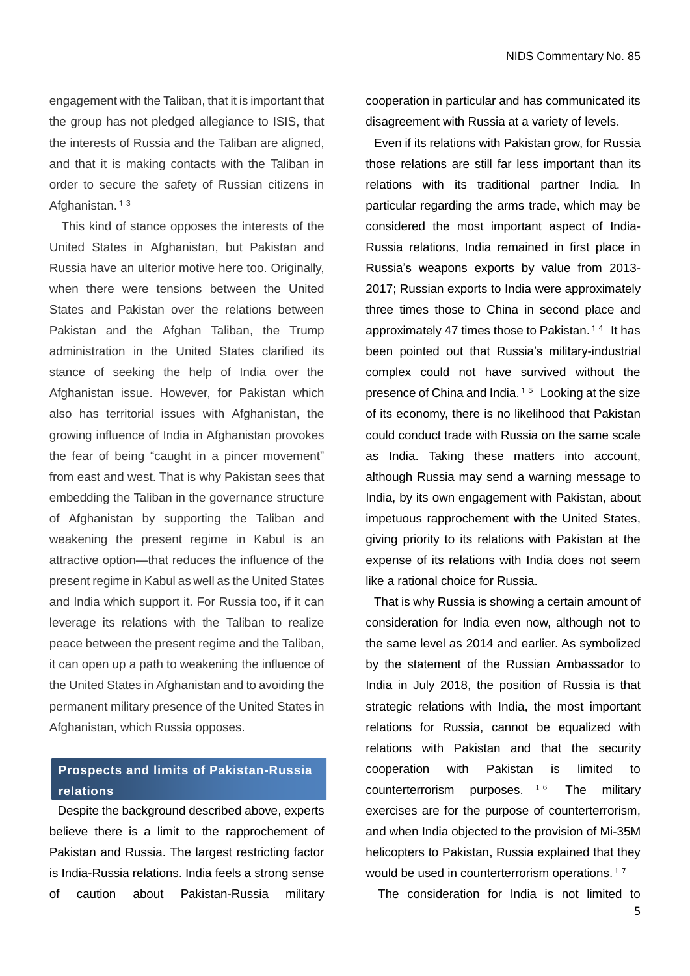engagement with the Taliban, that it is important that the group has not pledged allegiance to ISIS, that the interests of Russia and the Taliban are aligned, and that it is making contacts with the Taliban in order to secure the safety of Russian citizens in Afghanistan.<sup>13</sup>

This kind of stance opposes the interests of the United States in Afghanistan, but Pakistan and Russia have an ulterior motive here too. Originally, when there were tensions between the United States and Pakistan over the relations between Pakistan and the Afghan Taliban, the Trump administration in the United States clarified its stance of seeking the help of India over the Afghanistan issue. However, for Pakistan which also has territorial issues with Afghanistan, the growing influence of India in Afghanistan provokes the fear of being "caught in a pincer movement" from east and west. That is why Pakistan sees that embedding the Taliban in the governance structure of Afghanistan by supporting the Taliban and weakening the present regime in Kabul is an attractive option—that reduces the influence of the present regime in Kabul as well as the United States and India which support it. For Russia too, if it can leverage its relations with the Taliban to realize peace between the present regime and the Taliban, it can open up a path to weakening the influence of the United States in Afghanistan and to avoiding the permanent military presence of the United States in Afghanistan, which Russia opposes.

# **Prospects and limits of Pakistan-Russia relations**

Despite the background described above, experts believe there is a limit to the rapprochement of Pakistan and Russia. The largest restricting factor is India-Russia relations. India feels a strong sense of caution about Pakistan-Russia military cooperation in particular and has communicated its disagreement with Russia at a variety of levels.

Even if its relations with Pakistan grow, for Russia those relations are still far less important than its relations with its traditional partner India. In particular regarding the arms trade, which may be considered the most important aspect of India-Russia relations, India remained in first place in Russia's weapons exports by value from 2013- 2017; Russian exports to India were approximately three times those to China in second place and approximately 47 times those to Pakistan.<sup>14</sup> It has been pointed out that Russia's military-industrial complex could not have survived without the presence of China and India. <sup>15</sup> Looking at the size of its economy, there is no likelihood that Pakistan could conduct trade with Russia on the same scale as India. Taking these matters into account, although Russia may send a warning message to India, by its own engagement with Pakistan, about impetuous rapprochement with the United States, giving priority to its relations with Pakistan at the expense of its relations with India does not seem like a rational choice for Russia.

That is why Russia is showing a certain amount of consideration for India even now, although not to the same level as 2014 and earlier. As symbolized by the statement of the Russian Ambassador to India in July 2018, the position of Russia is that strategic relations with India, the most important relations for Russia, cannot be equalized with relations with Pakistan and that the security cooperation with Pakistan is limited to counterterrorism purposes. 16 The military exercises are for the purpose of counterterrorism, and when India objected to the provision of Mi-35M helicopters to Pakistan, Russia explained that they would be used in counterterrorism operations.<sup>17</sup>

The consideration for India is not limited to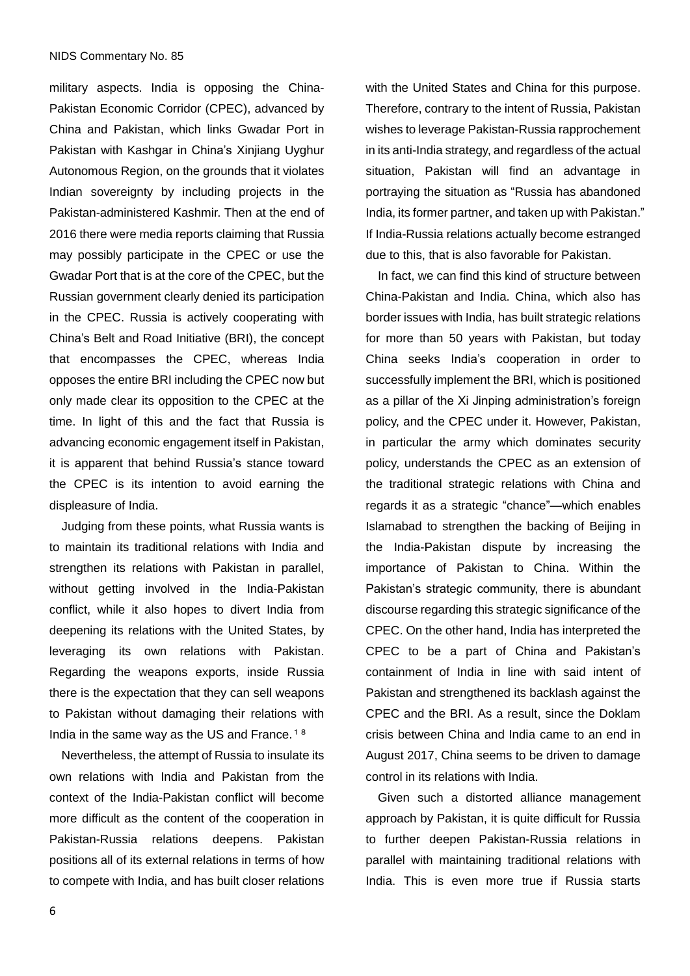military aspects. India is opposing the China-Pakistan Economic Corridor (CPEC), advanced by China and Pakistan, which links Gwadar Port in Pakistan with Kashgar in China's Xinjiang Uyghur Autonomous Region, on the grounds that it violates Indian sovereignty by including projects in the Pakistan-administered Kashmir. Then at the end of 2016 there were media reports claiming that Russia may possibly participate in the CPEC or use the Gwadar Port that is at the core of the CPEC, but the Russian government clearly denied its participation in the CPEC. Russia is actively cooperating with China's Belt and Road Initiative (BRI), the concept that encompasses the CPEC, whereas India opposes the entire BRI including the CPEC now but only made clear its opposition to the CPEC at the time. In light of this and the fact that Russia is advancing economic engagement itself in Pakistan, it is apparent that behind Russia's stance toward the CPEC is its intention to avoid earning the displeasure of India.

Judging from these points, what Russia wants is to maintain its traditional relations with India and strengthen its relations with Pakistan in parallel. without getting involved in the India-Pakistan conflict, while it also hopes to divert India from deepening its relations with the United States, by leveraging its own relations with Pakistan. Regarding the weapons exports, inside Russia there is the expectation that they can sell weapons to Pakistan without damaging their relations with India in the same way as the US and France.<sup>18</sup>

Nevertheless, the attempt of Russia to insulate its own relations with India and Pakistan from the context of the India-Pakistan conflict will become more difficult as the content of the cooperation in Pakistan-Russia relations deepens. Pakistan positions all of its external relations in terms of how to compete with India, and has built closer relations with the United States and China for this purpose. Therefore, contrary to the intent of Russia, Pakistan wishes to leverage Pakistan-Russia rapprochement in its anti-India strategy, and regardless of the actual situation, Pakistan will find an advantage in portraying the situation as "Russia has abandoned India, its former partner, and taken up with Pakistan." If India-Russia relations actually become estranged due to this, that is also favorable for Pakistan.

In fact, we can find this kind of structure between China-Pakistan and India. China, which also has border issues with India, has built strategic relations for more than 50 years with Pakistan, but today China seeks India's cooperation in order to successfully implement the BRI, which is positioned as a pillar of the Xi Jinping administration's foreign policy, and the CPEC under it. However, Pakistan, in particular the army which dominates security policy, understands the CPEC as an extension of the traditional strategic relations with China and regards it as a strategic "chance"―which enables Islamabad to strengthen the backing of Beijing in the India-Pakistan dispute by increasing the importance of Pakistan to China. Within the Pakistan's strategic community, there is abundant discourse regarding this strategic significance of the CPEC. On the other hand, India has interpreted the CPEC to be a part of China and Pakistan's containment of India in line with said intent of Pakistan and strengthened its backlash against the CPEC and the BRI. As a result, since the Doklam crisis between China and India came to an end in August 2017, China seems to be driven to damage control in its relations with India.

Given such a distorted alliance management approach by Pakistan, it is quite difficult for Russia to further deepen Pakistan-Russia relations in parallel with maintaining traditional relations with India. This is even more true if Russia starts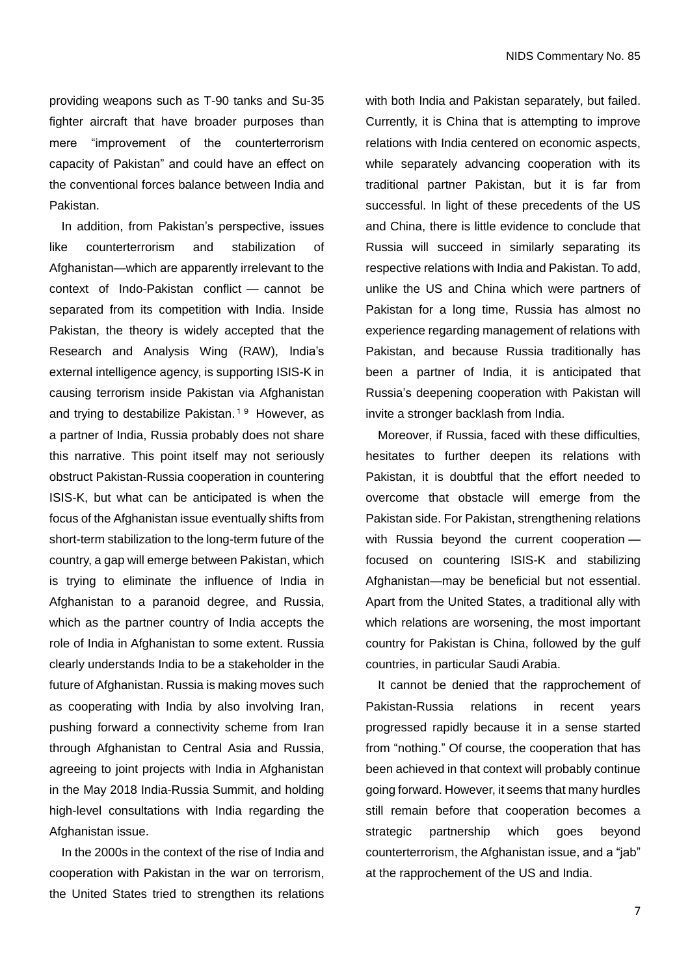providing weapons such as T-90 tanks and Su-35 fighter aircraft that have broader purposes than mere "improvement of the counterterrorism capacity of Pakistan" and could have an effect on the conventional forces balance between India and Pakistan.

In addition, from Pakistan's perspective, issues like counterterrorism and stabilization of Afghanistan―which are apparently irrelevant to the context of Indo-Pakistan conflict ― cannot be separated from its competition with India. Inside Pakistan, the theory is widely accepted that the Research and Analysis Wing (RAW), India's external intelligence agency, is supporting ISIS-K in causing terrorism inside Pakistan via Afghanistan and trying to destabilize Pakistan. <sup>19</sup> However, as a partner of India, Russia probably does not share this narrative. This point itself may not seriously obstruct Pakistan-Russia cooperation in countering ISIS-K, but what can be anticipated is when the focus of the Afghanistan issue eventually shifts from short-term stabilization to the long-term future of the country, a gap will emerge between Pakistan, which is trying to eliminate the influence of India in Afghanistan to a paranoid degree, and Russia, which as the partner country of India accepts the role of India in Afghanistan to some extent. Russia clearly understands India to be a stakeholder in the future of Afghanistan. Russia is making moves such as cooperating with India by also involving Iran, pushing forward a connectivity scheme from Iran through Afghanistan to Central Asia and Russia, agreeing to joint projects with India in Afghanistan in the May 2018 India-Russia Summit, and holding high-level consultations with India regarding the Afghanistan issue.

In the 2000s in the context of the rise of India and cooperation with Pakistan in the war on terrorism, the United States tried to strengthen its relations

with both India and Pakistan separately, but failed. Currently, it is China that is attempting to improve relations with India centered on economic aspects, while separately advancing cooperation with its traditional partner Pakistan, but it is far from successful. In light of these precedents of the US and China, there is little evidence to conclude that Russia will succeed in similarly separating its respective relations with India and Pakistan. To add, unlike the US and China which were partners of Pakistan for a long time, Russia has almost no experience regarding management of relations with Pakistan, and because Russia traditionally has been a partner of India, it is anticipated that Russia's deepening cooperation with Pakistan will invite a stronger backlash from India.

Moreover, if Russia, faced with these difficulties, hesitates to further deepen its relations with Pakistan, it is doubtful that the effort needed to overcome that obstacle will emerge from the Pakistan side. For Pakistan, strengthening relations with Russia beyond the current cooperation ― focused on countering ISIS-K and stabilizing Afghanistan―may be beneficial but not essential. Apart from the United States, a traditional ally with which relations are worsening, the most important country for Pakistan is China, followed by the gulf countries, in particular Saudi Arabia.

It cannot be denied that the rapprochement of Pakistan-Russia relations in recent years progressed rapidly because it in a sense started from "nothing." Of course, the cooperation that has been achieved in that context will probably continue going forward. However, it seems that many hurdles still remain before that cooperation becomes a strategic partnership which goes beyond counterterrorism, the Afghanistan issue, and a "jab" at the rapprochement of the US and India.